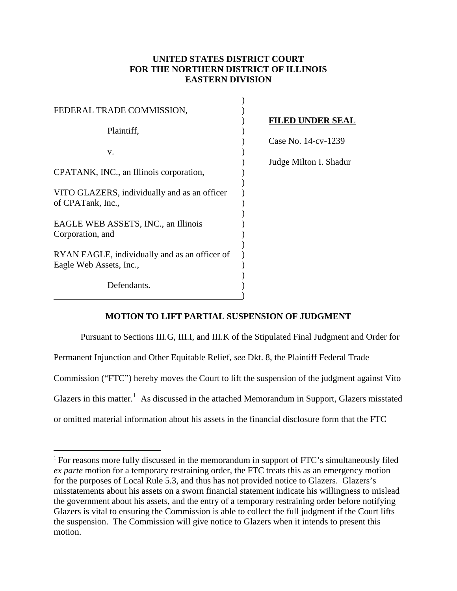## **UNITED STATES DISTRICT COURT FOR THE NORTHERN DISTRICT OF ILLINOIS EASTERN DIVISION**

| FEDERAL TRADE COMMISSION,                     |                |
|-----------------------------------------------|----------------|
|                                               | ${\bf F}$      |
| Plaintiff,                                    |                |
|                                               |                |
| v.                                            |                |
|                                               | J <sub>l</sub> |
| CPATANK, INC., an Illinois corporation,       |                |
|                                               |                |
| VITO GLAZERS, individually and as an officer  |                |
| of CPATank, Inc.,                             |                |
|                                               |                |
| EAGLE WEB ASSETS, INC., an Illinois           |                |
| Corporation, and                              |                |
|                                               |                |
| RYAN EAGLE, individually and as an officer of |                |
| Eagle Web Assets, Inc.,                       |                |
|                                               |                |
| Defendants.                                   |                |
|                                               |                |

 $\overline{a}$ 

 $\overline{a}$ 

## ) **FILED UNDER SEAL**

) Case No. 14-cv-1239

) Judge Milton I. Shadur

## **MOTION TO LIFT PARTIAL SUSPENSION OF JUDGMENT**

 Pursuant to Sections III.G, III.I, and III.K of the Stipulated Final Judgment and Order for Permanent Injunction and Other Equitable Relief, *see* Dkt. 8, the Plaintiff Federal Trade Commission ("FTC") hereby moves the Court to lift the suspension of the judgment against Vito Glazers in this matter.<sup>1</sup> As discussed in the attached Memorandum in Support, Glazers misstated or omitted material information about his assets in the financial disclosure form that the FTC

<sup>&</sup>lt;sup>1</sup> For reasons more fully discussed in the memorandum in support of FTC's simultaneously filed *ex parte* motion for a temporary restraining order, the FTC treats this as an emergency motion for the purposes of Local Rule 5.3, and thus has not provided notice to Glazers. Glazers's misstatements about his assets on a sworn financial statement indicate his willingness to mislead the government about his assets, and the entry of a temporary restraining order before notifying Glazers is vital to ensuring the Commission is able to collect the full judgment if the Court lifts the suspension. The Commission will give notice to Glazers when it intends to present this motion.